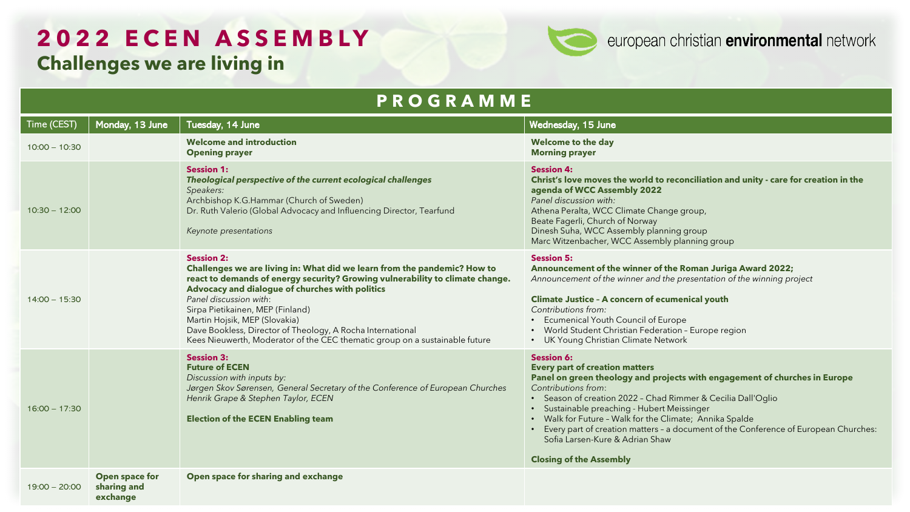### **2022 ECEN A SSEMBLY Challenges we are living in**



| <b>PROGRAMME</b> |  |                                           |                                                                                                                                                                                                                                                                                                                                                                                                                                                                               |                                                                                                                                                                                                                                                                                                                                                                                                                                                                                                         |
|------------------|--|-------------------------------------------|-------------------------------------------------------------------------------------------------------------------------------------------------------------------------------------------------------------------------------------------------------------------------------------------------------------------------------------------------------------------------------------------------------------------------------------------------------------------------------|---------------------------------------------------------------------------------------------------------------------------------------------------------------------------------------------------------------------------------------------------------------------------------------------------------------------------------------------------------------------------------------------------------------------------------------------------------------------------------------------------------|
| Time (CEST)      |  | Monday, 13 June                           | Tuesday, 14 June                                                                                                                                                                                                                                                                                                                                                                                                                                                              | Wednesday, 15 June                                                                                                                                                                                                                                                                                                                                                                                                                                                                                      |
| $10:00 - 10:30$  |  |                                           | <b>Welcome and introduction</b><br><b>Opening prayer</b>                                                                                                                                                                                                                                                                                                                                                                                                                      | <b>Welcome to the day</b><br><b>Morning prayer</b>                                                                                                                                                                                                                                                                                                                                                                                                                                                      |
| $10:30 - 12:00$  |  |                                           | <b>Session 1:</b><br>Theological perspective of the current ecological challenges<br>Speakers:<br>Archbishop K.G.Hammar (Church of Sweden)<br>Dr. Ruth Valerio (Global Advocacy and Influencing Director, Tearfund<br>Keynote presentations                                                                                                                                                                                                                                   | <b>Session 4:</b><br>Christ's love moves the world to reconciliation and unity - care for creation in the<br>agenda of WCC Assembly 2022<br>Panel discussion with:<br>Athena Peralta, WCC Climate Change group,<br>Beate Fagerli, Church of Norway<br>Dinesh Suha, WCC Assembly planning group<br>Marc Witzenbacher, WCC Assembly planning group                                                                                                                                                        |
| $14:00 - 15:30$  |  |                                           | <b>Session 2:</b><br>Challenges we are living in: What did we learn from the pandemic? How to<br>react to demands of energy security? Growing vulnerability to climate change.<br>Advocacy and dialogue of churches with politics<br>Panel discussion with:<br>Sirpa Pietikainen, MEP (Finland)<br>Martin Hojsik, MEP (Slovakia)<br>Dave Bookless, Director of Theology, A Rocha International<br>Kees Nieuwerth, Moderator of the CEC thematic group on a sustainable future | <b>Session 5:</b><br>Announcement of the winner of the Roman Juriga Award 2022;<br>Announcement of the winner and the presentation of the winning project<br><b>Climate Justice - A concern of ecumenical youth</b><br>Contributions from:<br>• Ecumenical Youth Council of Europe<br>• World Student Christian Federation - Europe region<br>• UK Young Christian Climate Network                                                                                                                      |
| $16:00 - 17:30$  |  |                                           | <b>Session 3:</b><br><b>Future of ECEN</b><br>Discussion with inputs by:<br>Jørgen Skov Sørensen, General Secretary of the Conference of European Churches<br>Henrik Grape & Stephen Taylor, ECEN<br><b>Election of the ECEN Enabling team</b>                                                                                                                                                                                                                                | <b>Session 6:</b><br><b>Every part of creation matters</b><br>Panel on green theology and projects with engagement of churches in Europe<br>Contributions from:<br>• Season of creation 2022 - Chad Rimmer & Cecilia Dall'Oglio<br>· Sustainable preaching - Hubert Meissinger<br>• Walk for Future - Walk for the Climate; Annika Spalde<br>• Every part of creation matters - a document of the Conference of European Churches:<br>Sofia Larsen-Kure & Adrian Shaw<br><b>Closing of the Assembly</b> |
| $19:00 - 20:00$  |  | Open space for<br>sharing and<br>exchange | Open space for sharing and exchange                                                                                                                                                                                                                                                                                                                                                                                                                                           |                                                                                                                                                                                                                                                                                                                                                                                                                                                                                                         |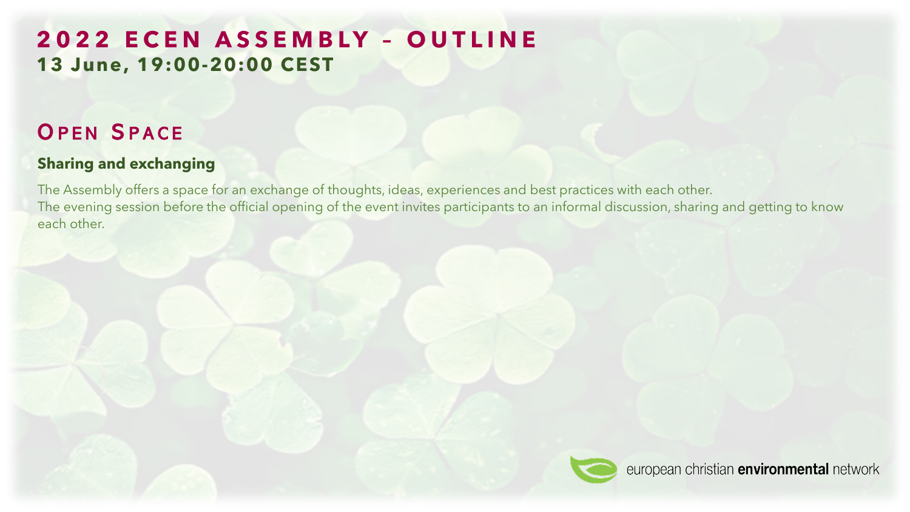# **2022 ECEN A SSEMBLY – OUTLINE 13 June, 19:00-20:00 CEST**

# OPEN SPACE

### **Sharing and exchanging**

The Assembly offers a space for an exchange of thoughts, ideas, experiences and best practices with each other. The evening session before the official opening of the event invites participants to an informal discussion, sharing and getting to know each other.

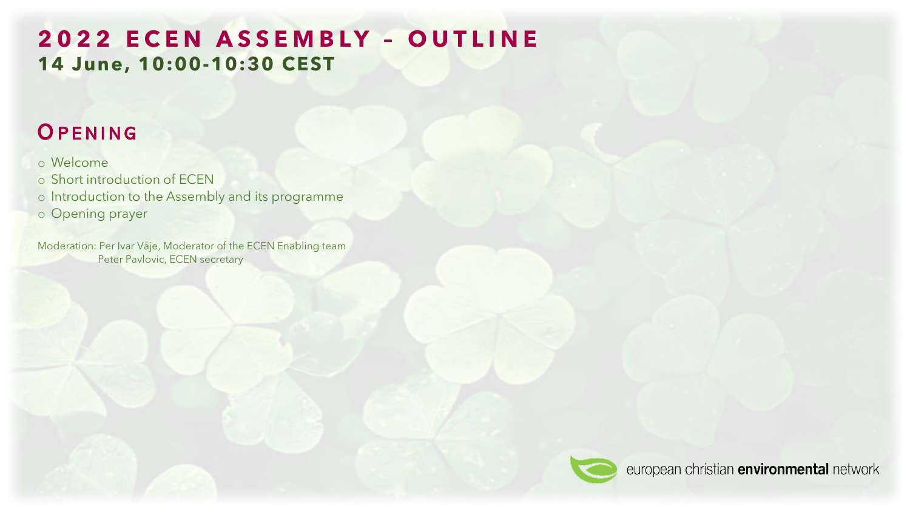# **2022 ECEN A SSEMBLY – OUTLINE 14 June, 10:00-10:30 CEST**

# **OPENING**

#### o Welcome

o Short introduction of ECEN

o Introduction to the Assembly and its programme

o Opening prayer

Moderation: Per Ivar Våje, Moderator of the ECEN Enabling team Peter Pavlovic, ECEN secretary

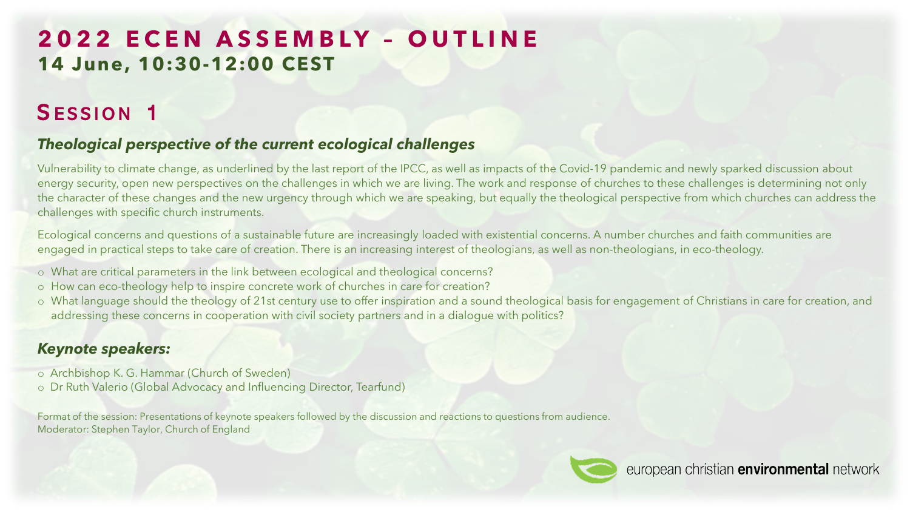# **2022 ECEN A SSEMBLY – OUTLINE 14 June, 10:30-12:00 CEST**

# SESSION 1

### *Theological perspective of the current ecological challenges*

Vulnerability to climate change, as underlined by the last report of the IPCC, as well as impacts of the Covid-19 pandemic and newly sparked discussion about energy security, open new perspectives on the challenges in which we are living. The work and response of churches to these challenges is determining not only the character of these changes and the new urgency through which we are speaking, but equally the theological perspective from which churches can address the challenges with specific church instruments.

Ecological concerns and questions of a sustainable future are increasingly loaded with existential concerns. A number churches and faith communities are engaged in practical steps to take care of creation. There is an increasing interest of theologians, as well as non-theologians, in eco-theology.

- o What are critical parameters in the link between ecological and theological concerns?
- o How can eco-theology help to inspire concrete work of churches in care for creation?
- o What language should the theology of 21st century use to offer inspiration and a sound theological basis for engagement of Christians in care for creation, and addressing these concerns in cooperation with civil society partners and in a dialogue with politics?

### *Keynote speakers:*

- o Archbishop K. G. Hammar (Church of Sweden)
- o Dr Ruth Valerio (Global Advocacy and Influencing Director, Tearfund)

Format of the session: Presentations of keynote speakers followed by the discussion and reactions to questions from audience. Moderator: Stephen Taylor, Church of England

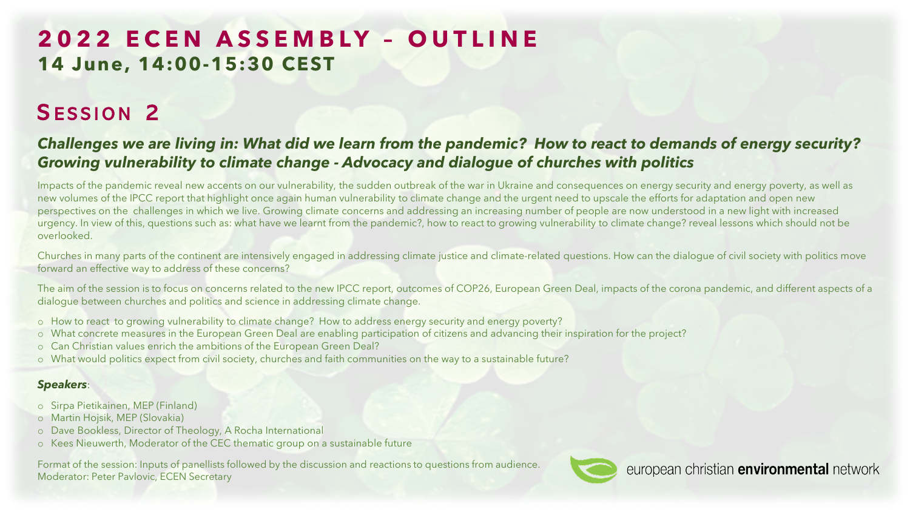# **2022 ECEN A SSEMBLY – OUTLINE 14 June, 14:00-15:30 CEST**

# SESSION 2

### *Challenges we are living in: What did we learn from the pandemic? How to react to demands of energy security? Growing vulnerability to climate change - Advocacy and dialogue of churches with politics*

Impacts of the pandemic reveal new accents on our vulnerability, the sudden outbreak of the war in Ukraine and consequences on energy security and energy poverty, as well as new volumes of the IPCC report that highlight once again human vulnerability to climate change and the urgent need to upscale the efforts for adaptation and open new perspectives on the challenges in which we live. Growing climate concerns and addressing an increasing number of people are now understood in a new light with increased urgency. In view of this, questions such as: what have we learnt from the pandemic?, how to react to growing vulnerability to climate change? reveal lessons which should not be overlooked.

Churches in many parts of the continent are intensively engaged in addressing climate justice and climate-related questions. How can the dialogue of civil society with politics move forward an effective way to address of these concerns?

The aim of the session is to focus on concerns related to the new IPCC report, outcomes of COP26, European Green Deal, impacts of the corona pandemic, and different aspects of a dialogue between churches and politics and science in addressing climate change.

- o How to react to growing vulnerability to climate change? How to address energy security and energy poverty?
- o What concrete measures in the European Green Deal are enabling participation of citizens and advancing their inspiration for the project?
- o Can Christian values enrich the ambitions of the European Green Deal?
- o What would politics expect from civil society, churches and faith communities on the way to a sustainable future?

#### *Speakers*:

- o Sirpa Pietikainen, MEP (Finland)
- o Martin Hojsik, MEP (Slovakia)
- o Dave Bookless, Director of Theology, A Rocha International
- o Kees Nieuwerth, Moderator of the CEC thematic group on a sustainable future

Format of the session: Inputs of panellists followed by the discussion and reactions to questions from audience. Moderator: Peter Pavlovic, ECEN Secretary

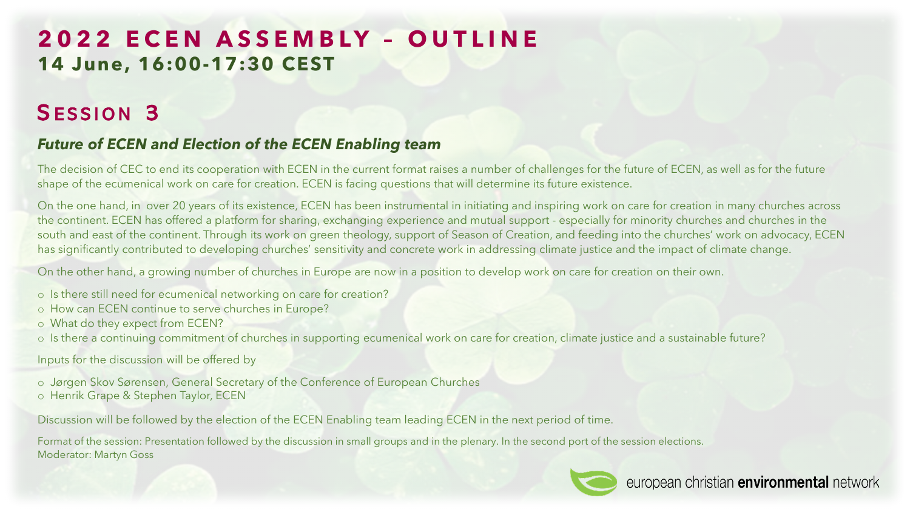# **2022 ECEN A SSEMBLY – OUTLINE 14 June, 16:00-17:30 CEST**

### SESSION 3

### *Future of ECEN and Election of the ECEN Enabling team*

The decision of CEC to end its cooperation with ECEN in the current format raises a number of challenges for the future of ECEN, as well as for the future shape of the ecumenical work on care for creation. ECEN is facing questions that will determine its future existence.

On the one hand, in over 20 years of its existence, ECEN has been instrumental in initiating and inspiring work on care for creation in many churches across the continent. ECEN has offered a platform for sharing, exchanging experience and mutual support - especially for minority churches and churches in the south and east of the continent. Through its work on green theology, support of Season of Creation, and feeding into the churches' work on advocacy, ECEN has significantly contributed to developing churches' sensitivity and concrete work in addressing climate justice and the impact of climate change.

On the other hand, a growing number of churches in Europe are now in a position to develop work on care for creation on their own.

- o Is there still need for ecumenical networking on care for creation?
- o How can ECEN continue to serve churches in Europe?
- o What do they expect from ECEN?
- o Is there a continuing commitment of churches in supporting ecumenical work on care for creation, climate justice and a sustainable future?

Inputs for the discussion will be offered by

- o Jørgen Skov Sørensen, General Secretary of the Conference of European Churches
- o Henrik Grape & Stephen Taylor, ECEN

Discussion will be followed by the election of the ECEN Enabling team leading ECEN in the next period of time.

Format of the session: Presentation followed by the discussion in small groups and in the plenary. In the second port of the session elections. Moderator: Martyn Goss

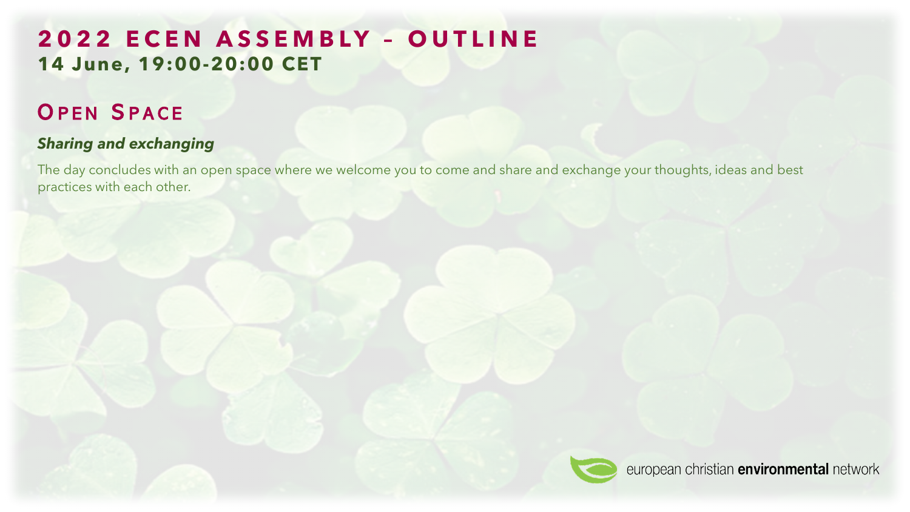# **2022 ECEN A SSEMBLY – OUTLINE 14 June, 19:00-20:00 CET**

# OPEN SPACE

### *Sharing and exchanging*

The day concludes with an open space where we welcome you to come and share and exchange your thoughts, ideas and best practices with each other.

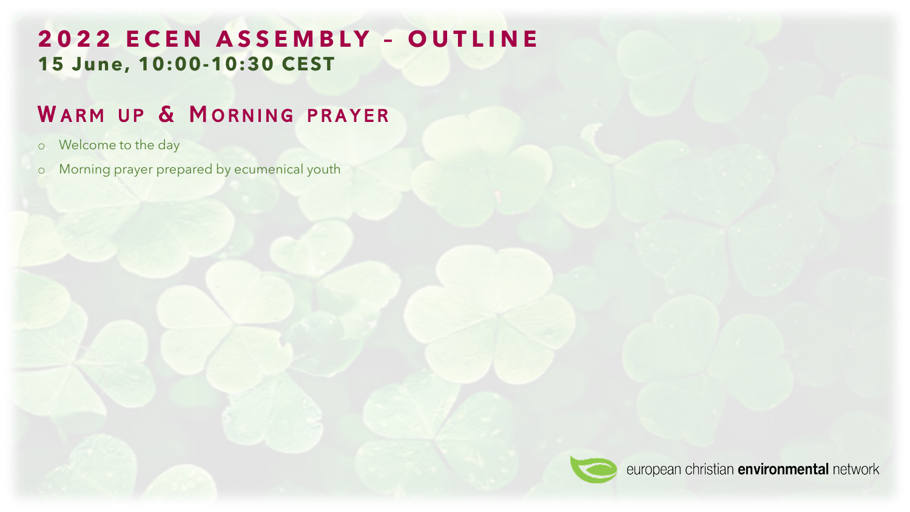## **2022 ECEN A SSEMBLY – OUTLINE 15 June, 10:00-10:30 CEST**

# WARM UP & MORNING PRAYER

- o Welcome to the day
- o Morning prayer prepared by ecumenical youth

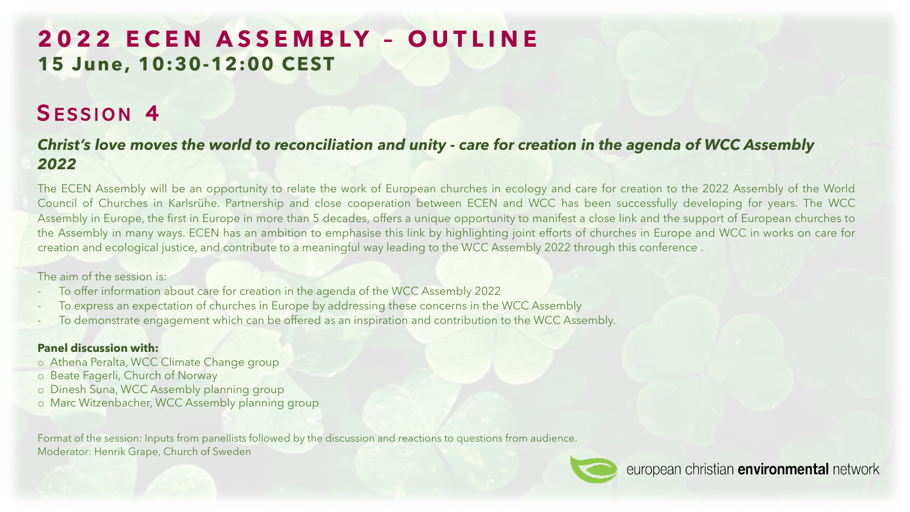# **2022 ECEN A SSEMBLY – OUTLINE 15 June, 10:30-12:00 CEST**

# SESSION 4

### *Christ's love moves the world to reconciliation and unity - care for creation in the agenda of WCC Assembly 2022*

The ECEN Assembly will be an opportunity to relate the work of European churches in ecology and care for creation to the 2022 Assembly of the World Council of Churches in Karlsrühe. Partnership and close cooperation between ECEN and WCC has been successfully developing for years. The WCC Assembly in Europe, the first in Europe in more than 5 decades, offers a unique opportunity to manifest a close link and the support of European churches to the Assembly in many ways. ECEN has an ambition to emphasise this link by highlighting joint efforts of churches in Europe and WCC in works on care for creation and ecological justice, and contribute to a meaningful way leading to the WCC Assembly 2022 through this conference .

#### The aim of the session is:

- To offer information about care for creation in the agenda of the WCC Assembly 2022
- To express an expectation of churches in Europe by addressing these concerns in the WCC Assembly
- To demonstrate engagement which can be offered as an inspiration and contribution to the WCC Assembly.

#### **Panel discussion with:**

- o Athena Peralta, WCC Climate Change group
- o Beate Fagerli, Church of Norway
- o Dinesh Suna, WCC Assembly planning group
- o Marc Witzenbacher, WCC Assembly planning group

Format of the session: Inputs from panellists followed by the discussion and reactions to questions from audience. Moderator: Henrik Grape, Church of Sweden

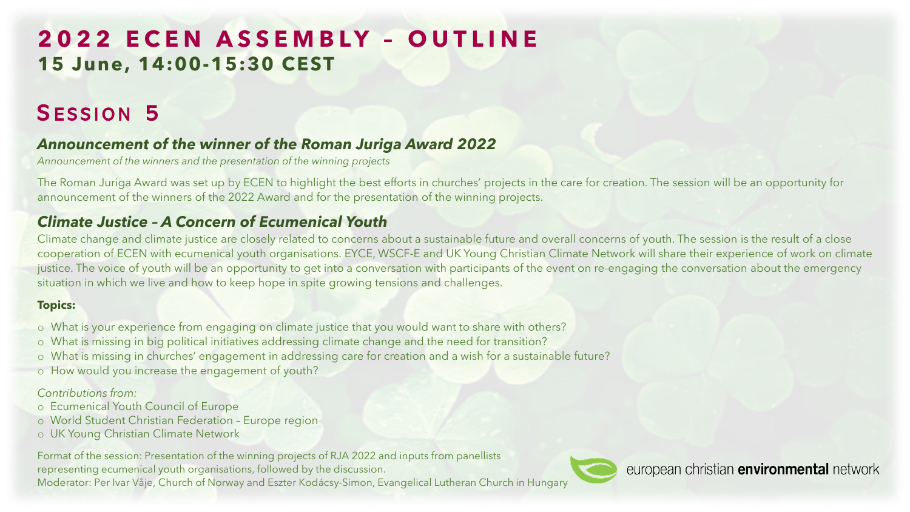# **2022 ECEN A SSEMBLY – OUTLINE 15 June, 14:00-15:30 CEST**

# SESSION 5

### *Announcement of the winner of the Roman Juriga Award 2022*

*Announcement of the winners and the presentation of the winning projects*

The Roman Juriga Award was set up by ECEN to highlight the best efforts in churches' projects in the care for creation. The session will be an opportunity for announcement of the winners of the 2022 Award and for the presentation of the winning projects.

### *Climate Justice – A Concern of Ecumenical Youth*

Climate change and climate justice are closely related to concerns about a sustainable future and overall concerns of youth. The session is the result of a close cooperation of ECEN with ecumenical youth organisations. EYCE, WSCF-E and UK Young Christian Climate Network will share their experience of work on climate justice. The voice of youth will be an opportunity to get into a conversation with participants of the event on re-engaging the conversation about the emergency situation in which we live and how to keep hope in spite growing tensions and challenges.

#### **Topics:**

- o What is your experience from engaging on climate justice that you would want to share with others?
- o What is missing in big political initiatives addressing climate change and the need for transition?
- o What is missing in churches' engagement in addressing care for creation and a wish for a sustainable future?
- o How would you increase the engagement of youth?

#### *Contributions from:*

- o Ecumenical Youth Council of Europe
- o World Student Christian Federation Europe region
- o UK Young Christian Climate Network

Format of the session: Presentation of the winning projects of RJA 2022 and inputs from panellists representing ecumenical youth organisations, followed by the discussion. Moderator: Per Ivar Våje, Church of Norway and Eszter Kodácsy-Simon, Evangelical Lutheran Church in Hungary